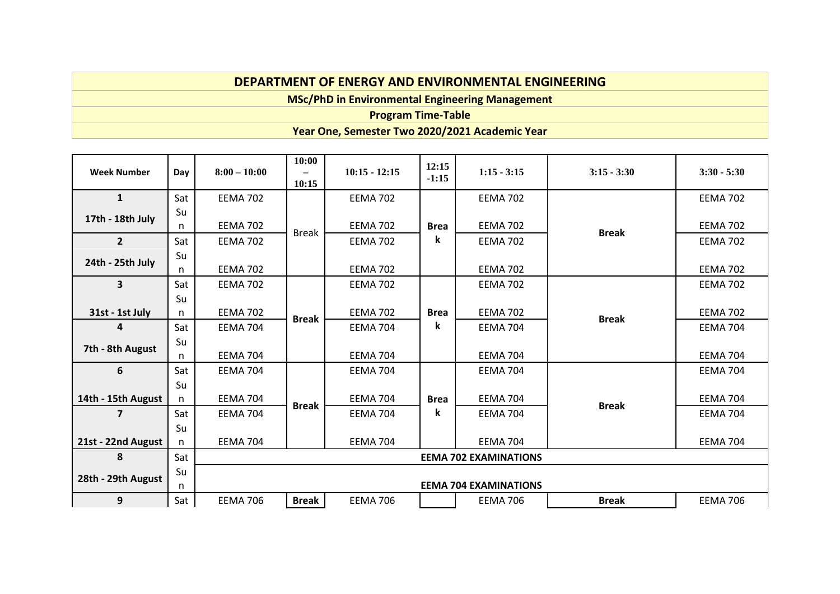## **DEPARTMENT OF ENERGY AND ENVIRONMENTAL ENGINEERING**

**MSc/PhD in Environmental Engineering Management**

## **Program Time-Table**

## **Year One, Semester Two 2020/2021 Academic Year**

| <b>Week Number</b> | Day | $8:00 - 10:00$               | 10:00<br>10:15 | $10:15 - 12:15$ | 12:15<br>$-1:15$ | $1:15 - 3:15$                | $3:15 - 3:30$ | $3:30 - 5:30$   |
|--------------------|-----|------------------------------|----------------|-----------------|------------------|------------------------------|---------------|-----------------|
| $\mathbf{1}$       | Sat | <b>EEMA 702</b>              |                | <b>EEMA 702</b> |                  | <b>EEMA 702</b>              |               | <b>EEMA 702</b> |
| 17th - 18th July   | Su  |                              |                |                 |                  |                              |               |                 |
|                    | n.  | <b>EEMA 702</b>              | <b>Break</b>   | <b>EEMA 702</b> | <b>Brea</b>      | <b>EEMA 702</b>              | <b>Break</b>  | <b>EEMA 702</b> |
| $\overline{2}$     | Sat | <b>EEMA 702</b>              |                | <b>EEMA 702</b> | k                | <b>EEMA 702</b>              |               | <b>EEMA 702</b> |
| 24th - 25th July   | Su  |                              |                |                 |                  |                              |               |                 |
|                    | n   | <b>EEMA 702</b>              |                | <b>EEMA 702</b> |                  | <b>EEMA 702</b>              |               | <b>EEMA 702</b> |
| 3                  | Sat | <b>EEMA 702</b>              |                | <b>EEMA 702</b> |                  | <b>EEMA 702</b>              |               | <b>EEMA 702</b> |
|                    | Su  |                              |                |                 |                  |                              |               |                 |
| 31st - 1st July    | n   | <b>EEMA 702</b>              | <b>Break</b>   | <b>EEMA 702</b> | <b>Brea</b><br>k | <b>EEMA 702</b>              | <b>Break</b>  | <b>EEMA 702</b> |
| 4                  | Sat | <b>EEMA 704</b>              |                | <b>EEMA 704</b> |                  | <b>EEMA 704</b>              |               | <b>EEMA 704</b> |
| 7th - 8th August   | Su  |                              |                |                 |                  |                              |               |                 |
|                    | n.  | <b>EEMA 704</b>              |                | <b>EEMA 704</b> |                  | <b>EEMA 704</b>              |               | <b>EEMA 704</b> |
| 6                  | Sat | <b>EEMA 704</b>              |                | <b>EEMA 704</b> |                  | <b>EEMA 704</b>              |               | <b>EEMA 704</b> |
|                    | Su  |                              |                |                 |                  |                              |               |                 |
| 14th - 15th August | n   | <b>EEMA 704</b>              | <b>Break</b>   | <b>EEMA 704</b> | <b>Brea</b>      | <b>EEMA 704</b>              | <b>Break</b>  | <b>EEMA 704</b> |
| 7                  | Sat | <b>EEMA 704</b>              |                | <b>EEMA 704</b> | k                | <b>EEMA 704</b>              |               | <b>EEMA 704</b> |
|                    | Su  |                              |                |                 |                  |                              |               |                 |
| 21st - 22nd August | n   | <b>EEMA 704</b>              |                | <b>EEMA 704</b> |                  | <b>EEMA 704</b>              |               | <b>EEMA 704</b> |
| 8                  | Sat |                              |                |                 |                  | <b>EEMA 702 EXAMINATIONS</b> |               |                 |
| Su                 |     |                              |                |                 |                  |                              |               |                 |
| 28th - 29th August | n   | <b>EEMA 704 EXAMINATIONS</b> |                |                 |                  |                              |               |                 |
| 9                  | Sat | <b>EEMA 706</b>              | <b>Break</b>   | <b>EEMA 706</b> |                  | <b>EEMA 706</b>              | <b>Break</b>  | <b>EEMA 706</b> |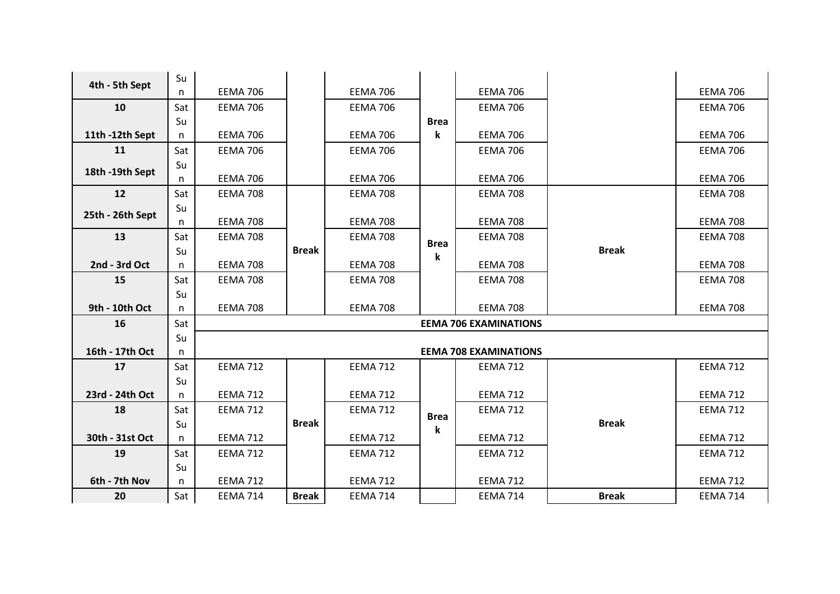|                  | Su  |                 |                              |                 |             |                              |              |                 |  |
|------------------|-----|-----------------|------------------------------|-----------------|-------------|------------------------------|--------------|-----------------|--|
| 4th - 5th Sept   | n.  | <b>EEMA 706</b> |                              | <b>EEMA 706</b> |             | <b>EEMA 706</b>              |              | <b>EEMA 706</b> |  |
| 10               | Sat | <b>EEMA 706</b> |                              | <b>EEMA 706</b> |             | <b>EEMA 706</b>              |              | <b>EEMA 706</b> |  |
|                  | Su  |                 |                              |                 | <b>Brea</b> |                              |              |                 |  |
| 11th -12th Sept  | n   | <b>EEMA 706</b> |                              | <b>EEMA 706</b> | $\mathbf k$ | <b>EEMA 706</b>              |              | <b>EEMA 706</b> |  |
| 11               | Sat | <b>EEMA 706</b> |                              | <b>EEMA 706</b> |             | <b>EEMA 706</b>              |              | <b>EEMA 706</b> |  |
| 18th -19th Sept  | Su  |                 |                              |                 |             |                              |              |                 |  |
|                  | n   | <b>EEMA 706</b> |                              | <b>EEMA 706</b> |             | <b>EEMA 706</b>              |              | <b>EEMA 706</b> |  |
| 12               | Sat | <b>EEMA 708</b> |                              | <b>EEMA 708</b> |             | <b>EEMA 708</b>              |              | <b>EEMA 708</b> |  |
| 25th - 26th Sept | Su  |                 |                              |                 |             |                              |              |                 |  |
|                  | n   | <b>EEMA 708</b> |                              | <b>EEMA 708</b> |             | <b>EEMA 708</b>              | <b>Break</b> | <b>EEMA 708</b> |  |
| 13               | Sat | <b>EEMA 708</b> |                              | <b>EEMA 708</b> | <b>Brea</b> | <b>EEMA 708</b>              |              | <b>EEMA 708</b> |  |
|                  | Su  |                 | <b>Break</b>                 |                 | k           |                              |              |                 |  |
| 2nd - 3rd Oct    | n.  | <b>EEMA 708</b> |                              | <b>EEMA 708</b> |             | <b>EEMA 708</b>              |              | <b>EEMA 708</b> |  |
| 15               | Sat | <b>EEMA 708</b> |                              | <b>EEMA 708</b> |             | <b>EEMA 708</b>              |              | <b>EEMA 708</b> |  |
|                  | Su  |                 |                              |                 |             |                              |              |                 |  |
| 9th - 10th Oct   | n   | <b>EEMA 708</b> |                              | <b>EEMA 708</b> |             | <b>EEMA 708</b>              |              | <b>EEMA 708</b> |  |
| 16               | Sat |                 | <b>EEMA 706 EXAMINATIONS</b> |                 |             |                              |              |                 |  |
|                  | Su  |                 |                              |                 |             |                              |              |                 |  |
| 16th - 17th Oct  | n   |                 |                              |                 |             | <b>EEMA 708 EXAMINATIONS</b> |              |                 |  |
| 17               | Sat | <b>EEMA 712</b> |                              | <b>EEMA 712</b> |             | <b>EEMA 712</b>              |              | <b>EEMA 712</b> |  |
|                  | Su  |                 |                              |                 |             |                              |              |                 |  |
| 23rd - 24th Oct  | n   | <b>EEMA 712</b> |                              | <b>EEMA 712</b> |             | <b>EEMA 712</b>              |              | <b>EEMA 712</b> |  |
| 18               | Sat | <b>EEMA 712</b> |                              | <b>EEMA 712</b> | <b>Brea</b> | <b>EEMA 712</b>              |              | <b>EEMA 712</b> |  |
|                  | Su  |                 | <b>Break</b>                 |                 | k           |                              | <b>Break</b> |                 |  |
| 30th - 31st Oct  | n   | <b>EEMA 712</b> |                              | <b>EEMA 712</b> |             | <b>EEMA 712</b>              |              | <b>EEMA 712</b> |  |
| 19               | Sat | <b>EEMA 712</b> |                              | <b>EEMA 712</b> |             | <b>EEMA 712</b>              |              | <b>EEMA 712</b> |  |
|                  | Su  |                 |                              |                 |             |                              |              |                 |  |
| 6th - 7th Nov    | n   | <b>EEMA 712</b> |                              | <b>EEMA 712</b> |             | <b>EEMA 712</b>              |              | <b>EEMA 712</b> |  |
| 20               | Sat | <b>EEMA 714</b> | <b>Break</b>                 | <b>EEMA 714</b> |             | <b>EEMA 714</b>              | <b>Break</b> | <b>EEMA 714</b> |  |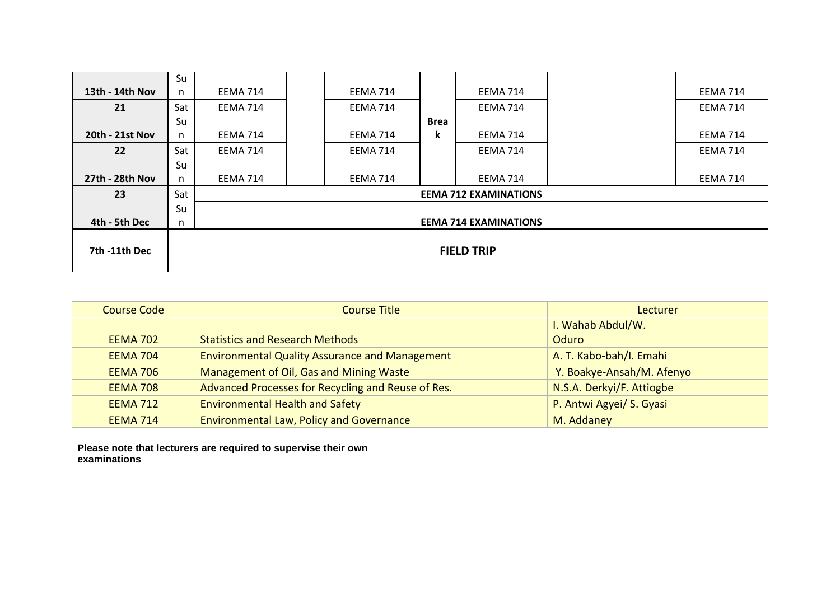|                        | Su  |                              |  |                 |             |                              |  |                 |
|------------------------|-----|------------------------------|--|-----------------|-------------|------------------------------|--|-----------------|
| 13th - 14th Nov        | n.  | EEMA 714                     |  | <b>EEMA 714</b> |             | <b>EEMA 714</b>              |  | <b>EEMA 714</b> |
| 21                     | Sat | <b>EEMA 714</b>              |  | <b>EEMA 714</b> |             | <b>EEMA 714</b>              |  | <b>EEMA 714</b> |
|                        | Su  |                              |  |                 | <b>Brea</b> |                              |  |                 |
| <b>20th - 21st Nov</b> | n   | <b>EEMA 714</b>              |  | <b>EEMA 714</b> | k           | <b>EEMA 714</b>              |  | <b>EEMA 714</b> |
| 22                     | Sat | <b>EEMA 714</b>              |  | <b>EEMA 714</b> |             | <b>EEMA 714</b>              |  | <b>EEMA 714</b> |
|                        | Su  |                              |  |                 |             |                              |  |                 |
| 27th - 28th Nov        | n   | EEMA 714                     |  | <b>EEMA 714</b> |             | <b>EEMA 714</b>              |  | <b>EEMA 714</b> |
| 23                     | Sat |                              |  |                 |             | <b>EEMA 712 EXAMINATIONS</b> |  |                 |
|                        | Su  |                              |  |                 |             |                              |  |                 |
| 4th - 5th Dec          | n   | <b>EEMA 714 EXAMINATIONS</b> |  |                 |             |                              |  |                 |
| 7th -11th Dec          |     |                              |  |                 |             | <b>FIELD TRIP</b>            |  |                 |

| <b>Course Code</b> | <b>Course Title</b>                                   | Lecturer                  |  |  |
|--------------------|-------------------------------------------------------|---------------------------|--|--|
|                    |                                                       | I. Wahab Abdul/W.         |  |  |
| <b>EEMA 702</b>    | <b>Statistics and Research Methods</b>                | Oduro                     |  |  |
| <b>EEMA 704</b>    | <b>Environmental Quality Assurance and Management</b> | A. T. Kabo-bah/I. Emahi   |  |  |
| <b>EEMA 706</b>    | Management of Oil, Gas and Mining Waste               | Y. Boakye-Ansah/M. Afenyo |  |  |
| <b>EEMA 708</b>    | Advanced Processes for Recycling and Reuse of Res.    | N.S.A. Derkyi/F. Attiogbe |  |  |
| <b>EEMA 712</b>    | <b>Environmental Health and Safety</b>                | P. Antwi Agyei/ S. Gyasi  |  |  |
| <b>EEMA 714</b>    | <b>Environmental Law, Policy and Governance</b>       | M. Addaney                |  |  |

**Please note that lecturers are required to supervise their own examinations**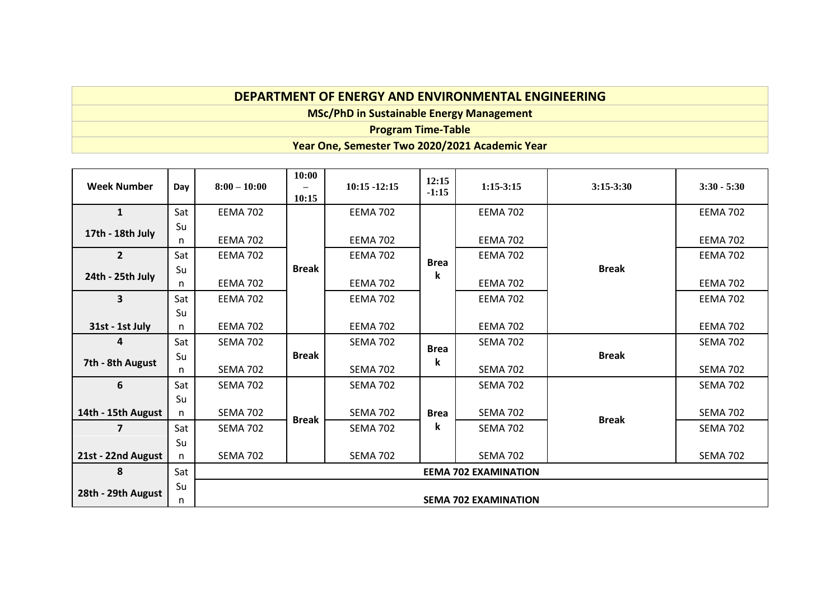## **DEPARTMENT OF ENERGY AND ENVIRONMENTAL ENGINEERING**

**MSc/PhD in Sustainable Energy Management**

**Program Time-Table**

**Year One, Semester Two 2020/2021 Academic Year**

| <b>Week Number</b>      | Day      | $8:00 - 10:00$              | 10:00<br>10:15              | $10:15 - 12:15$ | 12:15<br>$-1:15$ | $1:15-3:15$     | $3:15 - 3:30$ | $3:30 - 5:30$   |
|-------------------------|----------|-----------------------------|-----------------------------|-----------------|------------------|-----------------|---------------|-----------------|
| $\mathbf{1}$            | Sat      | <b>EEMA 702</b>             |                             | <b>EEMA 702</b> |                  | <b>EEMA 702</b> |               | <b>EEMA 702</b> |
| 17th - 18th July        | Su<br>n  | <b>EEMA 702</b>             |                             | <b>EEMA 702</b> |                  | <b>EEMA 702</b> |               | <b>EEMA 702</b> |
| $\overline{2}$          | Sat      | <b>EEMA 702</b>             |                             | <b>EEMA 702</b> | <b>Brea</b>      | <b>EEMA 702</b> |               | <b>EEMA 702</b> |
| 24th - 25th July        | Su       |                             | <b>Break</b>                |                 | k                |                 | <b>Break</b>  |                 |
|                         | n        | <b>EEMA 702</b>             |                             | <b>EEMA 702</b> |                  | <b>EEMA 702</b> |               | <b>EEMA 702</b> |
| $\overline{\mathbf{3}}$ | Sat      | <b>EEMA 702</b>             |                             | <b>EEMA 702</b> |                  | <b>EEMA 702</b> |               | <b>EEMA 702</b> |
|                         | Su       |                             |                             |                 |                  |                 |               |                 |
| 31st - 1st July         | n        | <b>EEMA 702</b>             |                             | <b>EEMA 702</b> |                  | <b>EEMA 702</b> |               | <b>EEMA 702</b> |
| 4                       | Sat      | <b>SEMA 702</b>             |                             | <b>SEMA 702</b> | <b>Brea</b>      | <b>SEMA 702</b> |               | <b>SEMA 702</b> |
| 7th - 8th August        | Su       |                             | <b>Break</b>                |                 | k                |                 | <b>Break</b>  |                 |
|                         | n        | <b>SEMA 702</b>             |                             | <b>SEMA 702</b> |                  | <b>SEMA 702</b> |               | <b>SEMA 702</b> |
| 6                       | Sat      | <b>SEMA 702</b>             |                             | <b>SEMA 702</b> |                  | <b>SEMA 702</b> |               | <b>SEMA 702</b> |
|                         | Su       |                             |                             |                 |                  |                 |               |                 |
| 14th - 15th August      | n        | <b>SEMA 702</b>             | <b>Break</b>                | <b>SEMA 702</b> | <b>Brea</b>      | <b>SEMA 702</b> | <b>Break</b>  | <b>SEMA 702</b> |
| 7                       | Sat      | <b>SEMA 702</b>             |                             | <b>SEMA 702</b> | k                | <b>SEMA 702</b> |               | <b>SEMA 702</b> |
|                         | Su       |                             |                             |                 |                  |                 |               |                 |
| 21st - 22nd August      | n        | <b>SEMA 702</b>             |                             | <b>SEMA 702</b> |                  | <b>SEMA 702</b> |               | <b>SEMA 702</b> |
| 8                       | Sat      | <b>EEMA 702 EXAMINATION</b> |                             |                 |                  |                 |               |                 |
| 28th - 29th August      | Su<br>n. |                             | <b>SEMA 702 EXAMINATION</b> |                 |                  |                 |               |                 |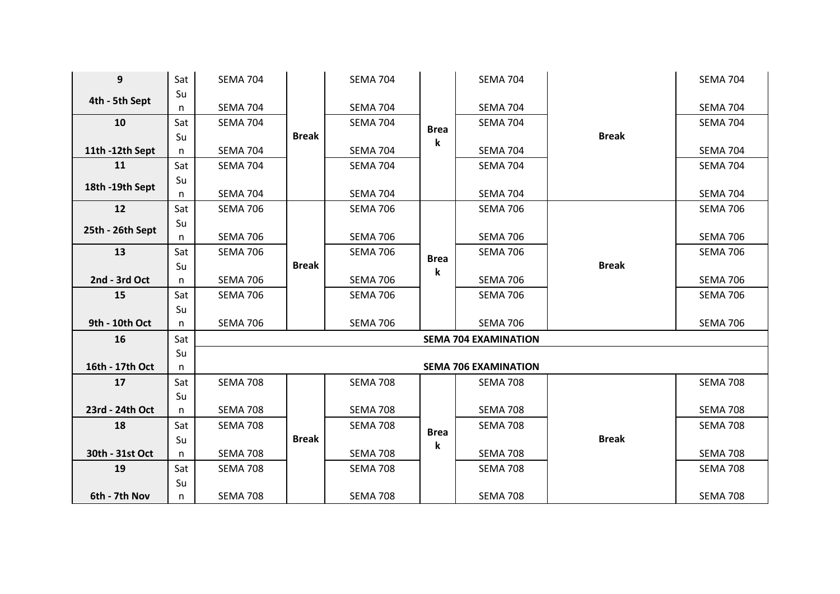| 9                | Sat | <b>SEMA 704</b> |                             | <b>SEMA 704</b> |             | <b>SEMA 704</b>             |              | <b>SEMA 704</b> |  |
|------------------|-----|-----------------|-----------------------------|-----------------|-------------|-----------------------------|--------------|-----------------|--|
| 4th - 5th Sept   | Su  |                 |                             |                 |             |                             |              |                 |  |
|                  | n   | <b>SEMA 704</b> |                             | <b>SEMA 704</b> |             | <b>SEMA 704</b>             |              | <b>SEMA 704</b> |  |
| 10               | Sat | <b>SEMA 704</b> |                             | <b>SEMA 704</b> | <b>Brea</b> | <b>SEMA 704</b>             |              | <b>SEMA 704</b> |  |
|                  | Su  |                 | <b>Break</b>                |                 | $\mathbf k$ |                             | <b>Break</b> |                 |  |
| 11th -12th Sept  | n   | <b>SEMA 704</b> |                             | <b>SEMA 704</b> |             | <b>SEMA 704</b>             |              | <b>SEMA 704</b> |  |
| 11               | Sat | <b>SEMA 704</b> |                             | <b>SEMA 704</b> |             | <b>SEMA 704</b>             |              | <b>SEMA 704</b> |  |
| 18th -19th Sept  | Su  |                 |                             |                 |             |                             |              |                 |  |
|                  | n   | <b>SEMA 704</b> |                             | <b>SEMA 704</b> |             | <b>SEMA 704</b>             |              | <b>SEMA 704</b> |  |
| 12               | Sat | <b>SEMA 706</b> |                             | <b>SEMA 706</b> |             | <b>SEMA 706</b>             |              | <b>SEMA 706</b> |  |
| 25th - 26th Sept | Su  |                 |                             |                 |             |                             |              |                 |  |
|                  | n   | <b>SEMA 706</b> |                             | <b>SEMA 706</b> |             | <b>SEMA 706</b>             |              | <b>SEMA 706</b> |  |
| 13               | Sat | <b>SEMA 706</b> |                             | <b>SEMA 706</b> | <b>Brea</b> | <b>SEMA 706</b>             |              | <b>SEMA 706</b> |  |
|                  | Su  |                 | <b>Break</b>                |                 | $\mathbf k$ |                             | <b>Break</b> |                 |  |
| 2nd - 3rd Oct    | n   | <b>SEMA 706</b> |                             | <b>SEMA 706</b> |             | <b>SEMA 706</b>             |              | <b>SEMA 706</b> |  |
| 15               | Sat | <b>SEMA 706</b> |                             | <b>SEMA 706</b> |             | <b>SEMA 706</b>             |              | <b>SEMA 706</b> |  |
|                  | Su  |                 |                             |                 |             |                             |              |                 |  |
| 9th - 10th Oct   | n   | <b>SEMA 706</b> |                             | <b>SEMA 706</b> |             | <b>SEMA 706</b>             |              | <b>SEMA 706</b> |  |
| 16               | Sat |                 | <b>SEMA 704 EXAMINATION</b> |                 |             |                             |              |                 |  |
|                  | Su  |                 |                             |                 |             |                             |              |                 |  |
| 16th - 17th Oct  | n   |                 |                             |                 |             | <b>SEMA 706 EXAMINATION</b> |              |                 |  |
| 17               | Sat | <b>SEMA 708</b> |                             | <b>SEMA 708</b> |             | <b>SEMA 708</b>             |              | <b>SEMA 708</b> |  |
|                  | Su  |                 |                             |                 |             |                             |              |                 |  |
| 23rd - 24th Oct  | n   | <b>SEMA 708</b> |                             | <b>SEMA 708</b> |             | <b>SEMA 708</b>             |              | <b>SEMA 708</b> |  |
| 18               | Sat | <b>SEMA 708</b> |                             | <b>SEMA 708</b> | <b>Brea</b> | <b>SEMA 708</b>             |              | <b>SEMA 708</b> |  |
|                  | Su  |                 | <b>Break</b>                |                 | $\mathbf k$ |                             | <b>Break</b> |                 |  |
| 30th - 31st Oct  | n   | <b>SEMA 708</b> |                             | <b>SEMA 708</b> |             | <b>SEMA 708</b>             |              | <b>SEMA 708</b> |  |
| 19               | Sat | <b>SEMA 708</b> |                             | <b>SEMA 708</b> |             | <b>SEMA 708</b>             |              | <b>SEMA 708</b> |  |
|                  | Su  |                 |                             |                 |             |                             |              |                 |  |
| 6th - 7th Nov    | n   | <b>SEMA 708</b> |                             | <b>SEMA 708</b> |             | <b>SEMA 708</b>             |              | <b>SEMA 708</b> |  |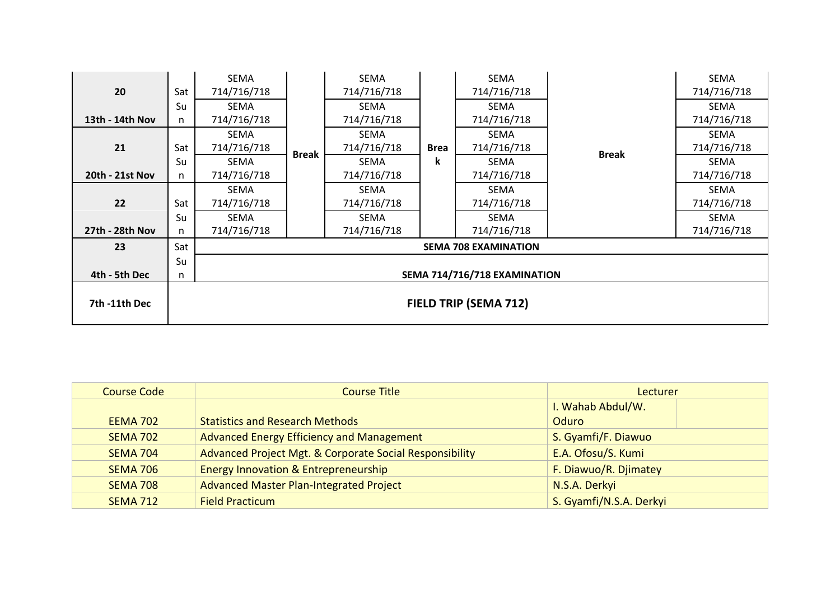|                        |                              | <b>SEMA</b>                  |              | SEMA        |                  | <b>SEMA</b>                 |              | <b>SEMA</b> |
|------------------------|------------------------------|------------------------------|--------------|-------------|------------------|-----------------------------|--------------|-------------|
| 20                     | Sat                          | 714/716/718                  |              | 714/716/718 |                  | 714/716/718                 | <b>Break</b> | 714/716/718 |
|                        | Su                           | SEMA                         |              | SEMA        | <b>Brea</b><br>k | SEMA                        |              | SEMA        |
| 13th - 14th Nov        | n.                           | 714/716/718                  |              | 714/716/718 |                  | 714/716/718                 |              | 714/716/718 |
|                        |                              | <b>SEMA</b>                  |              | SEMA        |                  | SEMA                        |              | SEMA        |
| 21                     | Sat                          | 714/716/718                  |              | 714/716/718 |                  | 714/716/718                 |              | 714/716/718 |
|                        | Su                           | SEMA                         | <b>Break</b> | SEMA        |                  | SEMA                        |              | <b>SEMA</b> |
| <b>20th - 21st Nov</b> | n.                           | 714/716/718                  |              | 714/716/718 |                  | 714/716/718                 |              | 714/716/718 |
|                        |                              | <b>SEMA</b>                  |              | <b>SEMA</b> |                  | SEMA                        |              | <b>SEMA</b> |
| 22                     | Sat                          | 714/716/718                  |              | 714/716/718 |                  | 714/716/718                 |              | 714/716/718 |
|                        | Su                           | SEMA                         |              | SEMA        |                  | SEMA                        |              | SEMA        |
| 27th - 28th Nov        | n.                           | 714/716/718                  |              | 714/716/718 |                  | 714/716/718                 |              | 714/716/718 |
| 23                     | Sat                          |                              |              |             |                  | <b>SEMA 708 EXAMINATION</b> |              |             |
|                        | Su                           |                              |              |             |                  |                             |              |             |
| 4th - 5th Dec          | n.                           | SEMA 714/716/718 EXAMINATION |              |             |                  |                             |              |             |
| 7th -11th Dec          | <b>FIELD TRIP (SEMA 712)</b> |                              |              |             |                  |                             |              |             |

| <b>Course Code</b> | <b>Course Title</b>                                     | <b>Lecturer</b>         |  |
|--------------------|---------------------------------------------------------|-------------------------|--|
|                    |                                                         | I. Wahab Abdul/W.       |  |
| <b>EEMA 702</b>    | <b>Statistics and Research Methods</b>                  | Oduro                   |  |
| <b>SEMA 702</b>    | Advanced Energy Efficiency and Management               | S. Gyamfi/F. Diawuo     |  |
| <b>SEMA 704</b>    | Advanced Project Mgt. & Corporate Social Responsibility | E.A. Ofosu/S. Kumi      |  |
| <b>SEMA 706</b>    | <b>Energy Innovation &amp; Entrepreneurship</b>         | F. Diawuo/R. Djimatey   |  |
| <b>SEMA 708</b>    | Advanced Master Plan-Integrated Project                 | N.S.A. Derkyi           |  |
| <b>SEMA 712</b>    | <b>Field Practicum</b>                                  | S. Gyamfi/N.S.A. Derkyi |  |